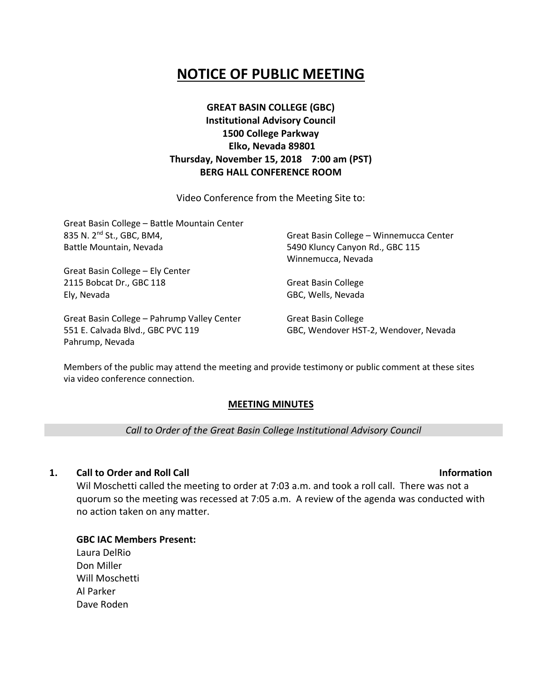# **NOTICE OF PUBLIC MEETING**

# **GREAT BASIN COLLEGE (GBC) Institutional Advisory Council 1500 College Parkway Elko, Nevada 89801 Thursday, November 15, 2018 7:00 am (PST) BERG HALL CONFERENCE ROOM**

Video Conference from the Meeting Site to:

| Great Basin College - Battle Mountain Center<br>835 N. 2 <sup>nd</sup> St., GBC, BM4,<br>Battle Mountain, Nevada | Great Basin College - Winnemucca Center<br>5490 Kluncy Canyon Rd., GBC 115 |                                  |
|------------------------------------------------------------------------------------------------------------------|----------------------------------------------------------------------------|----------------------------------|
|                                                                                                                  |                                                                            | Winnemucca, Nevada               |
|                                                                                                                  |                                                                            | Great Basin College - Ely Center |
|                                                                                                                  | 2115 Bobcat Dr., GBC 118                                                   | <b>Great Basin College</b>       |
| Ely, Nevada                                                                                                      | GBC, Wells, Nevada                                                         |                                  |
| Great Basin College - Pahrump Valley Center                                                                      | <b>Great Basin College</b>                                                 |                                  |
| 551 E. Calvada Blvd., GBC PVC 119                                                                                | GBC, Wendover HST-2, Wendover, Nevada                                      |                                  |

Members of the public may attend the meeting and provide testimony or public comment at these sites via video conference connection.

# **MEETING MINUTES**

*Call to Order of the Great Basin College Institutional Advisory Council*

# **1. Call to Order and Roll Call Information**

Pahrump, Nevada

Wil Moschetti called the meeting to order at 7:03 a.m. and took a roll call. There was not a quorum so the meeting was recessed at 7:05 a.m. A review of the agenda was conducted with no action taken on any matter.

**GBC IAC Members Present:** Laura DelRio Don Miller Will Moschetti Al Parker Dave Roden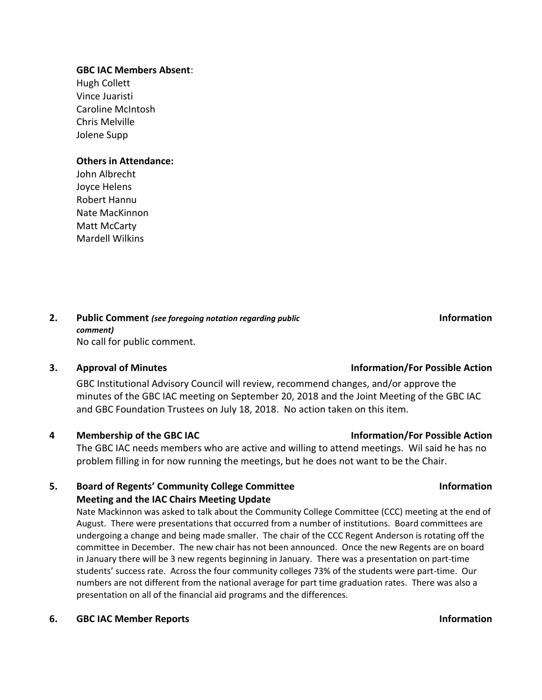### **GBC IAC Members Absent**:

Hugh Collett Vince Juaristi Caroline McIntosh Chris Melville Jolene Supp

### **Others in Attendance:**

John Albrecht Joyce Helens Robert Hannu Nate MacKinnon Matt McCarty Mardell Wilkins

### **2. Public Comment** *(see foregoing notation regarding public comment)* No call for public comment.

GBC Institutional Advisory Council will review, recommend changes, and/or approve the minutes of the GBC IAC meeting on September 20, 2018 and the Joint Meeting of the GBC IAC and GBC Foundation Trustees on July 18, 2018. No action taken on this item.

# **4 Membership of the GBC IAC Information/For Possible Action**

The GBC IAC needs members who are active and willing to attend meetings. Wil said he has no problem filling in for now running the meetings, but he does not want to be the Chair.

# **5. Board of Regents' Community College Committee Meeting and the IAC Chairs Meeting Update**

Nate Mackinnon was asked to talk about the Community College Committee (CCC) meeting at the end of August. There were presentations that occurred from a number of institutions. Board committees are undergoing a change and being made smaller. The chair of the CCC Regent Anderson is rotating off the committee in December. The new chair has not been announced. Once the new Regents are on board in January there will be 3 new regents beginning in January. There was a presentation on part-time students' success rate. Across the four community colleges 73% of the students were part-time. Our numbers are not different from the national average for part time graduation rates. There was also a presentation on all of the financial aid programs and the differences.

### **6. GBC IAC Member Reports Information**

# **3. Approval of Minutes Information/For Possible Action**

**Information** 

**Information**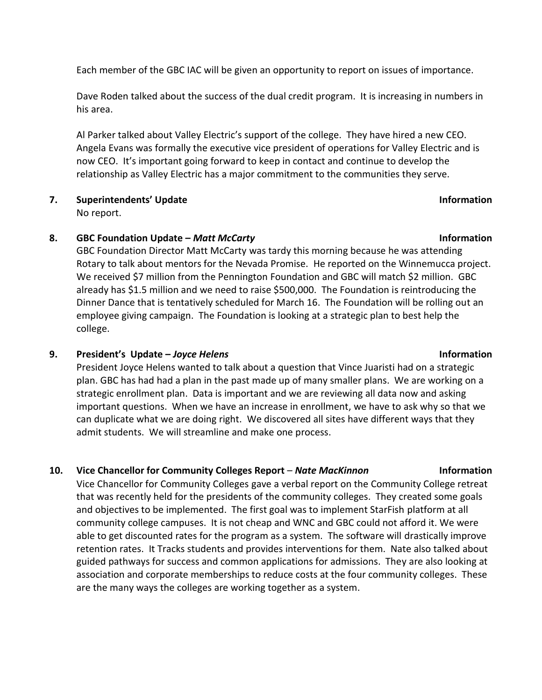Each member of the GBC IAC will be given an opportunity to report on issues of importance.

Dave Roden talked about the success of the dual credit program. It is increasing in numbers in his area.

Al Parker talked about Valley Electric's support of the college. They have hired a new CEO. Angela Evans was formally the executive vice president of operations for Valley Electric and is now CEO. It's important going forward to keep in contact and continue to develop the relationship as Valley Electric has a major commitment to the communities they serve.

## **7. Superintendents' Update Information** No report.

# **8. GBC Foundation Update –** *Matt McCarty* **Information**

GBC Foundation Director Matt McCarty was tardy this morning because he was attending Rotary to talk about mentors for the Nevada Promise. He reported on the Winnemucca project. We received \$7 million from the Pennington Foundation and GBC will match \$2 million. GBC already has \$1.5 million and we need to raise \$500,000. The Foundation is reintroducing the Dinner Dance that is tentatively scheduled for March 16. The Foundation will be rolling out an employee giving campaign. The Foundation is looking at a strategic plan to best help the college.

# **9. President's Update –** *Joyce Helens* **Information**

President Joyce Helens wanted to talk about a question that Vince Juaristi had on a strategic plan. GBC has had had a plan in the past made up of many smaller plans. We are working on a strategic enrollment plan. Data is important and we are reviewing all data now and asking important questions. When we have an increase in enrollment, we have to ask why so that we can duplicate what we are doing right. We discovered all sites have different ways that they admit students. We will streamline and make one process.

# **10. Vice Chancellor for Community Colleges Report** – *Nate MacKinnon* **Information**

Vice Chancellor for Community Colleges gave a verbal report on the Community College retreat that was recently held for the presidents of the community colleges. They created some goals and objectives to be implemented. The first goal was to implement StarFish platform at all community college campuses. It is not cheap and WNC and GBC could not afford it. We were able to get discounted rates for the program as a system. The software will drastically improve retention rates. It Tracks students and provides interventions for them. Nate also talked about guided pathways for success and common applications for admissions. They are also looking at association and corporate memberships to reduce costs at the four community colleges. These are the many ways the colleges are working together as a system.